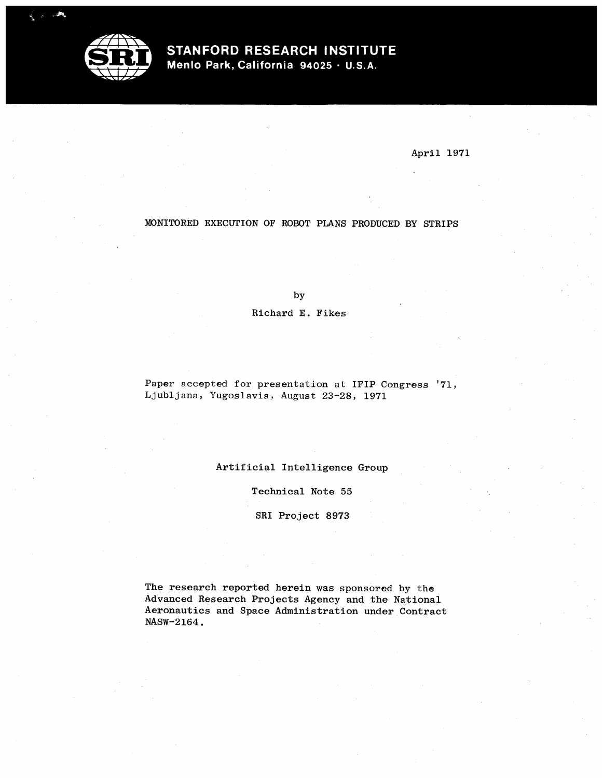

# STANFORD RESEARCH INSTITUTE

Menlo Park, California 94025 · U.S.A.

April 1971

## MONITORED EXECUTION OF ROBOT PLANS PRODUCED BY STRIPS

by

Richard E. Fikes

Paper accepted for presentation at IFIP Congress '71, Lj ublj ana, Yugoslavia, August 23-28, 1971

Artificial Intelligence Group

Technical Note 55

SRI Project 8973

The research reported herein was sponsored by the Advanced Research Projects Agency and the National Aeronautics and Space Administration under Contract NASW-2164.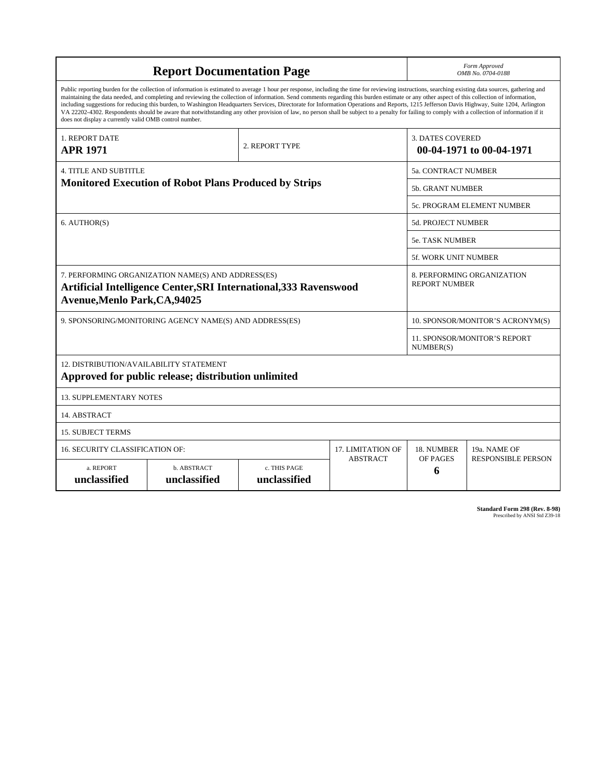| <b>Report Documentation Page</b>                                                                                                                                                                                                                                                                                                                                                                                                                                                                                                                                                                                                                                                                                                                                                                                                                                   |                             |                              |                    |                                                    | Form Approved<br>OMB No. 0704-0188               |  |
|--------------------------------------------------------------------------------------------------------------------------------------------------------------------------------------------------------------------------------------------------------------------------------------------------------------------------------------------------------------------------------------------------------------------------------------------------------------------------------------------------------------------------------------------------------------------------------------------------------------------------------------------------------------------------------------------------------------------------------------------------------------------------------------------------------------------------------------------------------------------|-----------------------------|------------------------------|--------------------|----------------------------------------------------|--------------------------------------------------|--|
| Public reporting burden for the collection of information is estimated to average 1 hour per response, including the time for reviewing instructions, searching existing data sources, gathering and<br>maintaining the data needed, and completing and reviewing the collection of information. Send comments regarding this burden estimate or any other aspect of this collection of information,<br>including suggestions for reducing this burden, to Washington Headquarters Services, Directorate for Information Operations and Reports, 1215 Jefferson Davis Highway, Suite 1204, Arlington<br>VA 22202-4302. Respondents should be aware that notwithstanding any other provision of law, no person shall be subject to a penalty for failing to comply with a collection of information if it<br>does not display a currently valid OMB control number. |                             |                              |                    |                                                    |                                                  |  |
| <b>1. REPORT DATE</b><br><b>APR 1971</b>                                                                                                                                                                                                                                                                                                                                                                                                                                                                                                                                                                                                                                                                                                                                                                                                                           |                             | 2. REPORT TYPE               |                    | <b>3. DATES COVERED</b>                            | 00-04-1971 to 00-04-1971                         |  |
| <b>4. TITLE AND SUBTITLE</b>                                                                                                                                                                                                                                                                                                                                                                                                                                                                                                                                                                                                                                                                                                                                                                                                                                       |                             | 5a. CONTRACT NUMBER          |                    |                                                    |                                                  |  |
| <b>Monitored Execution of Robot Plans Produced by Strips</b>                                                                                                                                                                                                                                                                                                                                                                                                                                                                                                                                                                                                                                                                                                                                                                                                       |                             |                              |                    | <b>5b. GRANT NUMBER</b>                            |                                                  |  |
|                                                                                                                                                                                                                                                                                                                                                                                                                                                                                                                                                                                                                                                                                                                                                                                                                                                                    |                             |                              |                    | 5c. PROGRAM ELEMENT NUMBER                         |                                                  |  |
| 6. AUTHOR(S)                                                                                                                                                                                                                                                                                                                                                                                                                                                                                                                                                                                                                                                                                                                                                                                                                                                       |                             |                              | 5d. PROJECT NUMBER |                                                    |                                                  |  |
|                                                                                                                                                                                                                                                                                                                                                                                                                                                                                                                                                                                                                                                                                                                                                                                                                                                                    |                             |                              |                    | <b>5e. TASK NUMBER</b>                             |                                                  |  |
|                                                                                                                                                                                                                                                                                                                                                                                                                                                                                                                                                                                                                                                                                                                                                                                                                                                                    |                             | <b>5f. WORK UNIT NUMBER</b>  |                    |                                                    |                                                  |  |
| 7. PERFORMING ORGANIZATION NAME(S) AND ADDRESS(ES)<br>Artificial Intelligence Center, SRI International, 333 Ravenswood<br><b>Avenue, Menlo Park, CA, 94025</b>                                                                                                                                                                                                                                                                                                                                                                                                                                                                                                                                                                                                                                                                                                    |                             |                              |                    | 8. PERFORMING ORGANIZATION<br><b>REPORT NUMBER</b> |                                                  |  |
| 9. SPONSORING/MONITORING AGENCY NAME(S) AND ADDRESS(ES)                                                                                                                                                                                                                                                                                                                                                                                                                                                                                                                                                                                                                                                                                                                                                                                                            |                             |                              |                    | 10. SPONSOR/MONITOR'S ACRONYM(S)                   |                                                  |  |
|                                                                                                                                                                                                                                                                                                                                                                                                                                                                                                                                                                                                                                                                                                                                                                                                                                                                    |                             |                              |                    |                                                    | <b>11. SPONSOR/MONITOR'S REPORT</b><br>NUMBER(S) |  |
| 12. DISTRIBUTION/AVAILABILITY STATEMENT<br>Approved for public release; distribution unlimited                                                                                                                                                                                                                                                                                                                                                                                                                                                                                                                                                                                                                                                                                                                                                                     |                             |                              |                    |                                                    |                                                  |  |
| <b>13. SUPPLEMENTARY NOTES</b>                                                                                                                                                                                                                                                                                                                                                                                                                                                                                                                                                                                                                                                                                                                                                                                                                                     |                             |                              |                    |                                                    |                                                  |  |
| 14. ABSTRACT                                                                                                                                                                                                                                                                                                                                                                                                                                                                                                                                                                                                                                                                                                                                                                                                                                                       |                             |                              |                    |                                                    |                                                  |  |
| <b>15. SUBJECT TERMS</b>                                                                                                                                                                                                                                                                                                                                                                                                                                                                                                                                                                                                                                                                                                                                                                                                                                           |                             |                              |                    |                                                    |                                                  |  |
| 16. SECURITY CLASSIFICATION OF:                                                                                                                                                                                                                                                                                                                                                                                                                                                                                                                                                                                                                                                                                                                                                                                                                                    | <b>17. LIMITATION OF</b>    | 18. NUMBER                   | 19a. NAME OF       |                                                    |                                                  |  |
| a. REPORT<br>unclassified                                                                                                                                                                                                                                                                                                                                                                                                                                                                                                                                                                                                                                                                                                                                                                                                                                          | b. ABSTRACT<br>unclassified | c. THIS PAGE<br>unclassified | <b>ABSTRACT</b>    | OF PAGES<br>6                                      | <b>RESPONSIBLE PERSON</b>                        |  |

**Standard Form 298 (Rev. 8-98)**<br>Prescribed by ANSI Std Z39-18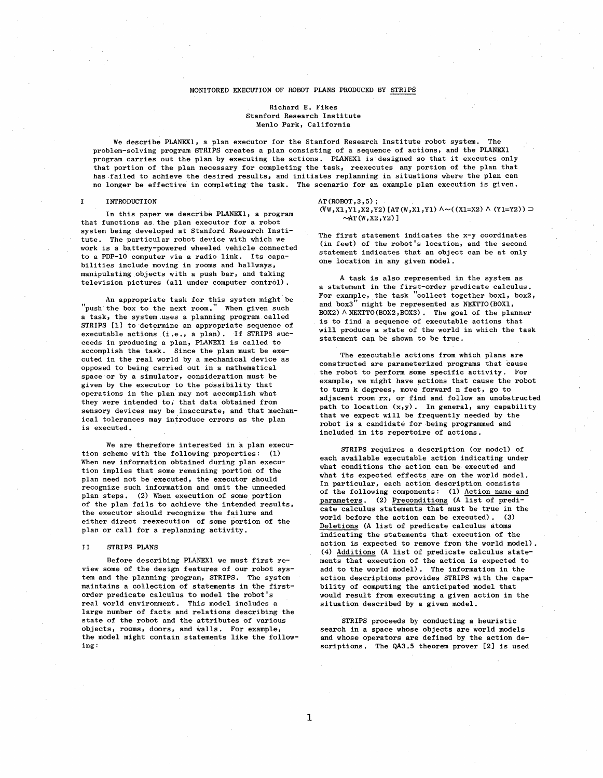### MONITORED EXECUTION OF ROBOT PLANS PRODUCED BY STRIPS

### Richard E. Fikes Stanford Research Institute Menlo Park, California

We describe PLANEXl, a plan executor for the Stanford Research Institute robot system. The problem-solving program STRIPS creates a plan consisting of a sequence of actions, and the PLANEXI program carries out the plan by executing the actions. PLANEXI is designed so that it executes only that portion of the plan necessary for completing the task, reexecutes any portion of the plan that has failed to achieve the desired results, and initiates replanning in situations where the plan can no longer be effective in completing the task. The scenario for an example plan execution is given.

#### $\mathbf{I}$ INTRODUCTION

In this paper we describe PLANEXl, a program that functions as. the plan executor for a robot system being developed at Stanford Research Institute. The particular robot device with which we work is a battery-powered wheeled vehicle connected to a PDP-IO computer via a radio link. Its capabili ties include moving in rooms and hallways, manipulating objects with a push bar, and taking television pictures (all under computer control)

An appropriate task for this system might be "push the box to the next room." When given such a task, the system .uses a planning program called STRIPS (1) to determine an appropriate sequence of executable actions (i.e., a plan). If STRIPS succeeds in producing a plan, PLANEXI is called to accomplish the task. Since the plan must be executed in the real world by a mechanical device as opposed to being carried out in a mathematical space or by a simulator, consideration must be given by the executor to the possibility that operations in the plan may not accomplish what they were intended to, that data obtained from sensory devices may be inaccurate, and that mechanical tolerances may introduce errors as the plan is executed.

We are therefore interested in a plan execution scheme with the following properties: (1) When new information obtained during plan execution implies that some remaining portion of the plan need not be executed, the executor should recognize such information and omit the unneeded plan steps. (2) When execution of some portion of the plan fails to achieve the intended results, the executor should recognize the failure and ei ther direct reexecution of some portion of the plan or call for a replanning activity.

#### $II$ STRIPS PLANS

Before describing PLANEXI we must first review some of the design features of our robot system and the planning program, STRIPS. The system maintains a collection of statements in the firstorder predicate calculus to model the robot' real world environment. This model includes a large number of facts and relations describing the state of the robot and the attributes of various objects, rooms, doors, and walls. For example, the model might contain statements like the following:

### $AT(ROBOT.3.5)$ :  $(W, X1, Y1, X2, Y2)$  [AT(W,X1,Y1)  $\land \sim ((X1=X2) \land (Y1=Y2))$   $\supset$  $~\sim$ AT (W.X2, Y2) 1

The first statement indicates the x-y coordinates (in feet) of the robot's location, and the second statement indicates that an object can be at only one location in any given model.

A task is also represented in the system as a statement in the first-order predicate calculus. For example, the task "collect together boxl, box2, and box3 " might be represented as NEXTTO (BOXl, BOX2)  $\land$  NEXTTO (BOX2, BOX3). The goal of the planner is to find a sequence of executable actions that will produce a state of the world in which the task statement can be shown to be true.

The executable actions from which plans are constructed are parameterized programs that cause the robot to perform some specific activity. For example, we might have actions that cause the robot to turn k degrees, move forward n feet, go to adjacent room rx, or find and follow an unobstructed path to location  $(x,y)$ . In general, any capability that we expect will be frequently needed by the robot is a candidate for being programmed and included in its repertoire of actions.

STRIPS requires a description (or model) of each available executable action indicating under what conditions the action can be executed and what its expected effects are on the world model. In particular, each action description consists of the following components: (1) Action name and parameters. (2) Preconditions (A list of predicate calculus statements that must be true in the world before the action can be executed). (3) Deletions (A list of predicate calculus atoms indicating the statements that execution of the action is expected to remove from the world model) (4) Additions (A list of predicate calculus statements that execution of the action is expected to add to the world model). The information in the action descriptions provides STRIPS with the capabili ty of computing the anticipated model that would result from executing a given action in the situation described by a given model.

STRIPS proceeds by conducting a heuristic search in a space whose objects are world models and whose operators are defined by the action descriptions. The QA3.5 theorem prover [2] is used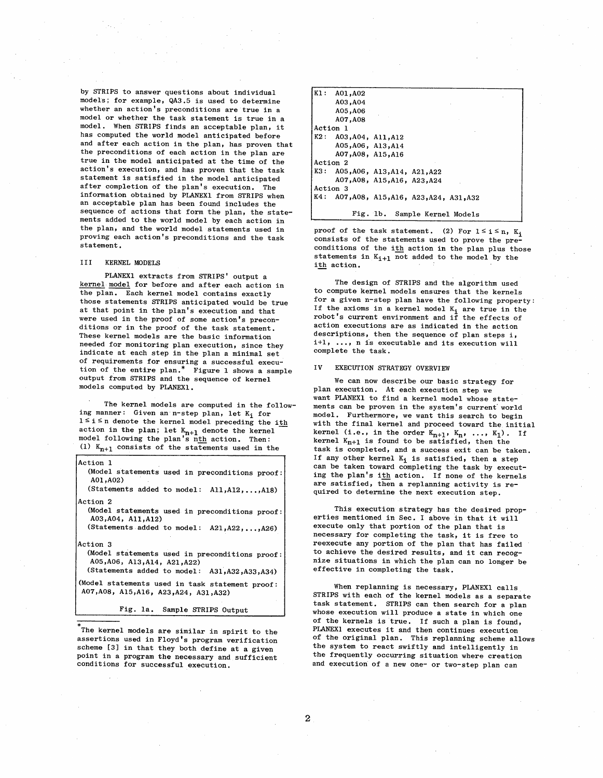by STRIPS to answer questions about individual models; for example, QA3. 5 is used to determine whether an action's preconditions are true in a model or whether the task statement is true in a model. When STRIPS finds an acceptable plan, it has computed the world model anticipated before and after each action in the plan, has proven that the preconditions of each action in the plan are true in the model anticipated at the time of the action's execution, and has proven that the task statement is satisfied in the model anticipated after completion of the plan's execution. The information obtained by PLANEX1 from STRIPS when an acceptable plan has been found includes the sequence of actions that form the plan, the statements added to the world model by each action in the plan, and the world model statements used in proving each action's preconditions and the task statement.

### III KERNEL MODELS

PLANEX1 extracts from STRIPS' output a kernel model for before and after each action in the plan. Each kernel model contains exactly those statements STRIPS anticipated would be true at that point in the plan's execution and that were used in the proof of some action's precon-<br>ditions or in the proof of the task statement. These kernel models are the basic information needed for monitoring plan execution, since they indicate at each step in the plan a minimal set of requirements for ensuring a successful execution of the entire plan.<sup>\*</sup> Figure 1 shows a sample output from STRIPS and the sequence of kernel models computed by PLANEX1.

The kernel models are computed in the following manner: Given an n-step plan, let  $K_i$  for  $1 \le i \le n$  denote the kernel model preceding the ith action in the plan; let  $K_{n+1}$  denote the kernel<br>model following the plan's n<u>th</u> action. Then: (1)  $K_{n+1}$  consists of the statements used in the

| Action 1<br>(Model statements used in preconditions proof:<br>A01, A02)<br>(Statements added to model: All, A12, , A18) |
|-------------------------------------------------------------------------------------------------------------------------|
| Action 2                                                                                                                |
| (Model statements used in preconditions proof:<br>A03, A04, A11, A12)                                                   |
| (Statements added to model: A21,A22,,A26)                                                                               |
| Action 3                                                                                                                |
| (Model statements used in preconditions proof:<br>A05, A06, A13, A14, A21, A22)                                         |
| (Statements added to model: A31, A32, A33, A34)                                                                         |
| (Model statements used in task statement proof:<br>A07, A08, A15, A16, A23, A24, A31, A32)                              |
| Fig. la. Sample STRIPS Output                                                                                           |
|                                                                                                                         |

The kernel models are similar in spirit to the assertions used in Floyd's program verification scheme (3) in that they both define at a given point in a program the necessary and sufficient conditions for successful execution.

| $K1$ :<br>A01,A02 |                                            |
|-------------------|--------------------------------------------|
| A03, A04          |                                            |
| A05,A06           |                                            |
| A07, A08          |                                            |
| Action 1          |                                            |
|                   | K2: A03, A04, A11, A12                     |
|                   | A05, A06, A13, A14                         |
|                   | A07, A08, A15, A16                         |
| Action 2          |                                            |
|                   | K3: A05, A06, A13, A14, A21, A22           |
|                   | A07,A08, A15,A16, A23,A24                  |
| Action 3          |                                            |
|                   | K4: A07, A08, A15, A16, A23, A24, A31, A32 |
|                   |                                            |
|                   | Fig. 1b. Sample Kernel Models              |

proof of the task statement. (2) For  $1 \le i \le n$ , K<sub>i</sub> consists of the statements used to prove the preconditions of the ith action in the plan plus those statements in  $K_{1+1}$  not added to the model by the ith action.

The design of STRIPS and the algorithm used to compute kernel models ensures that the kernels for a given n-step plan have the following property If the axioms in a kernel model  $K_i$  are true in the robot's current environment and if the effects of action executions are as indicated in the action descriptions, then the sequence of plan steps i, i+l, ..., n is executable and its execution will complete the task.

#### IV EXECUTION STRATEGY OVERVIEW

We can now describe our basic strategy for plan execution. At each execution step we want PLANEXI to find a kernel model whose statements can be proven in the system's current world<br>model. Furthermore, we want this search to begin with the final kernel and proceed toward the initial kernel (i.e., in the order  $K_{n+1}$ ,  $K_n$ , ...,  $K_1$ ). If kernel  $K_{n+1}$  is found to be satisfied, then the task is completed, and a success exit can be taken. If any other kernel  $K_i$  is satisfied, then a step can be taken toward completing the task by executing the plan's ith action. If none of the kernels are satisfied, then a replanning activity is required to determine the next execution step.

This execution strategy has the desired properties mentioned in Sec. I above in that it will execute only that portion of the plan that is necessary for completing the task, it is free to reexecute any portion of the plan that has failed to achieve the desired results, and it can recognize situations in which the plan can no longer be effective in completing the task.

When replanning is necessary, PLANEXl calls STRIPS with each of the kernel models as a separate task statement. STRIPS can then search for a plan whose execution will produce a state in which one of the kernels is true. If such a plan is found, PLANEXI executes it and then continues execution of the original plan. This replanning scheme allows the system to react swiftly and intelligently in the frequently occurring situation where creation and execution of a new one- or two-step plan can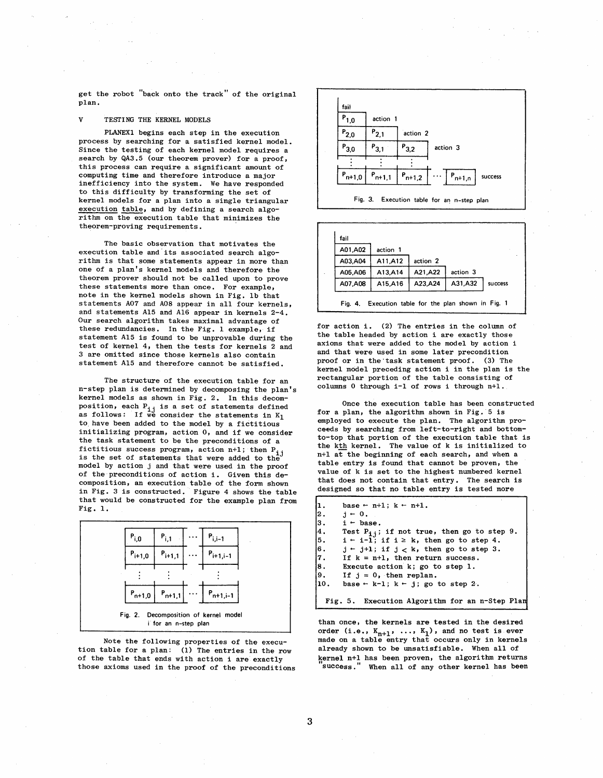get the robot "back onto the track " of the original plan.

#### $\mathbf{v}$ TESTING THE KERNEL MODELS

PLANEX1 begins each step in the execution process by searching for a satisfied kernel model. Since the testing of each kernel model requires a search by QA3.5 (our theorem prover) for a proof, this process can require a significant amount of computing time and therefore introduce a major inefficiency into the system. We have responded to this difficulty by transforming the set of kernel models for a plan into a single triangular execution table, and by defining a search algori thm on the execution table that minimizes the theorem-proving requirements.

The basic observation that motivates the execution table and its associated search algorithm is that some statements appear in more than one of a plan's kernel models and therefore the theorem prover should not be called upon to prove these statements more than once. For example, note in the kernel models shown in Fig. lb that statements A07 and A08 appear in all four kernels, and statements Al5 and A16 appear in kernels 2-4. Our search algorithm takes maximal advantage of these redundancies. In the Fig. 1 example, if statement A15 is found to be unprovable during the test of kernel 4, then the tests for kernels 2 and 3 are omitted since those kernels also contain statement A15 and therefore cannot be satisfied.

The structure of the execution table for an n-step plan is determined by decomposing the plan's kernel models as shown in Fig. 2. In this decomposition, each  $P_{i,j}$  is a set of statements defined as follows: If we consider the statements in  $K_1$ to have been added to the model by a fictitious initializing program, action  $0$ , and if we consider the task statement to be the preconditions of a fictitious success program, action n+1; then  $P_{i,j}$ is the set of statements that were added to th model by action j and that were used in the proof of the preconditions of action i. Given this decomposition, an execution table of the form shown in Fig. 3 is constructed. Figure 4 shows the table that would be constructed for the example plan from Fig. 1.



Note the following properties of the execution table for a plan: (1) The entries in the row of the table that ends with action i are exactly those axioms used in the proof of the preconditions





for action i. (2) The entries in the column of the table headed by action i are exactly those axioms that were added to the model by action i and that were used in some later precondition proof or in the task statement proof. (3) The kernel model preceding action i in the plan is the rectangular portion of the table consisting of colums 0 through i-l of rows i through n+l.

Once the execution table has been constructed for a plan, the algorithm shown in Fig. 5 is employed to execute the plan. The algorithm proceeds by searching from left-to-right and bottomto-top that portion of the execution table that is the kth kernel. The value of k is initialized to n+l at the beginning of each search, and when a table entry is found that cannot be proven, the value of k is set to the highest numbered kernel that does not contain that entry. The search is designed so that no table entry is tested more

| lı.                                    | base $-$ n+1; $k - n+1$ .                              |
|----------------------------------------|--------------------------------------------------------|
| $\begin{bmatrix} 2 \\ 3 \end{bmatrix}$ | $i - 0$ .                                              |
|                                        | $i - base.$                                            |
| 4.                                     | Test $P_{i,i}$ ; if not true, then go to step 9.       |
| $\vert$ <sub>5</sub> .                 | $i \in i-1$ ; if $i \ge k$ , then go to step 4.        |
| $\vert 6$ .                            | $j \leftarrow j+1$ ; if $j < k$ , then go to step 3.   |
| 17.                                    | If $k = n+1$ , then return success.                    |
| $\begin{bmatrix} 8 \\ 9 \end{bmatrix}$ | Execute action k; go to step 1.                        |
|                                        | If $j = 0$ , then replan.                              |
| 110.                                   | base $\leftarrow$ k-1; k $\leftarrow$ j; go to step 2. |
|                                        |                                                        |
|                                        | Fig. 5. Execution Algorithm for an n-Step Plan         |

than once, the kernels are tested in the desired order (i.e.,  $K_{n+1}$ , ...,  $K_1$ ), and no test is ever made on a table entry that occurs only in kernels already shown to be unsatisfiable. When all of kernel n+l has been proven, the algorithm returns success." When all of any other kernel has been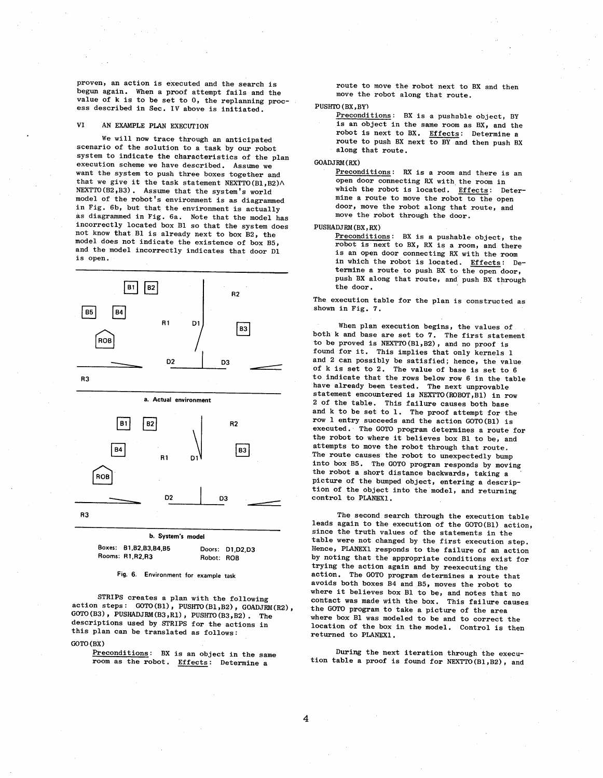proven, an action is executed and the search is begun again. When a proof attempt fails and the value of k is to be set to 0, the replanning process described in Sec. IV above is initiated.

#### VI AN EXAMPLE PLAN EXECUTION

We will now trace through an anticipated scenario of the solution to a task by our robot system to indicate the characteristics of the plan execution scheme we have described. Assume we want the system to push three boxes together and that we give it the task statement NEXTTO(B1, B2) $\wedge$  $NEXTTO(B2,B3)$ . Assume that the system's world model of the robot's environment is as diagrammed in Fig. 6b, but that the environment is actually as diagramed in Fig. 6a. Note that the model has incorrectly located box Bl so that the system does not know that Bl is already next to box B2, the model does not indicate the existence of box B5, and the model incorrectly indicates that door Dl is open.



Boxes: B1, B2, B3, B4, B5 Rooms: R1 R2 R3 Doors: D1,D2,D3 Robot: R08

Fig. 6. Environment for example task

STRIPS creates a plan with the following action steps:  $GOTO(B1)$ ,  $PUSHTO(B1,B2)$ ,  $GOADJRM(R2)$ ,  $GOTO(B3)$ ,  $PUSHADJRM(B3, R1)$ ,  $PUSHTO(B3, B2)$ . The descriptions used by STRIPS for the actions in this plan can be translated as follows:

GOTO (BX)

Preconditions: BX is an object in the same room as the robot. Effects: Determine a

route to move the robot next to BX and then move the robot along that route.

### PUSHTO (BX, BY)

Preconditions: BX is a pushable object, BY is an object in the same room as BX, and the robot is next to BX. Effects: Determine a route to push BX next to BY and then push BX along that route.

### GOADJRM (RX)

Preconditions: RX is a room and there is an open door connecting RX with the room in which the robot is located. Effects: Determine a route to move the robot to the open door, move the robot along that route, and move the robot through the door.

### PUSHADJRM (BX, RX)

 $Preconditions:$  BX is a pushable object, the robot is next to BX, RX is a room, and there is an open door connecting RX with the room in which the robot is located. Effects: Determine a route to push BX to the open door, push BX along that route, and push BX through the door.

The execution table for the plan is constructed as shown in Fig. 7.

When plan execution begins, the values of both k and base are set to 7. The first statement to be proved is NEXTTO (Bl, B2), and no proof is found for it. This implies that only kernels 1 and 2 can possibly be satisfied; hence, the value of k is set to 2. The value of base is set to 6 to indicate that the rows below row 6 in the table have already been tested. The next unprovable statement encountered is NEXTTO(ROBOT, Bl) in row 2 of the table. This failure causes both base and k to be set to 1. The proof attempt for the row 1 entry succeeds and the action GOTO (Bl) is executed. ' The GOTO program determines a route for the robot to where it believes box Bl to be, and attempts to move the robot through that route, The route causes the robot to unexpectedly bump into box B5. The GOTO program responds by moving the robot a short distance backwards, taking a picture of the bumped object, entering a description of the object into the model, and returning control to PLANEXI.

The second search through the execution table leads again to the execution of the GOTO (Bl) action, since the truth values of the statements in the table were not changed by the first execution step. Hence, PLANEXI responds to the failure of an action by noting that the appropriate conditions exist for trying the action again and by reexecuting the action. The GOTO program determines a route that avoids both boxes B4 and B5, moves the robot to where it believes box Bl to be, and notes that no contact was made with the box. This failure causes the GOTO program to take a picture of the area where box Bl was modeled to be and to correct the location of the box in the model. Control is then returned to PLANEXI.

During the next iteration through the execution table a proof is found for  $NEXTTO(B1, B2)$ , and